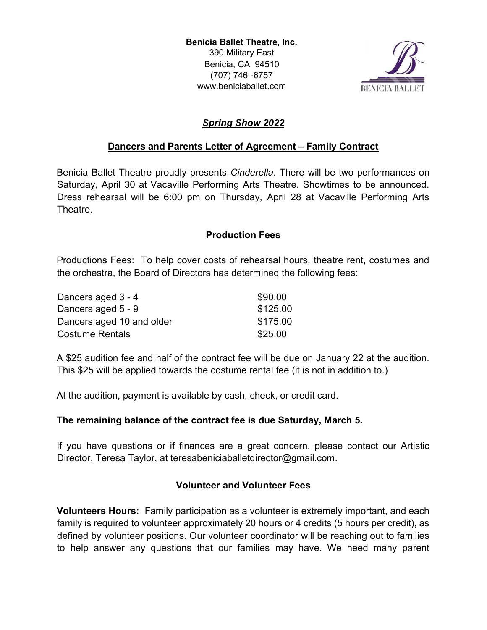Benicia Ballet Theatre, Inc. 390 Military East Benicia, CA 94510 (707) 746 -6757 www.beniciaballet.com



# Spring Show 2022

## Dancers and Parents Letter of Agreement – Family Contract

Benicia Ballet Theatre proudly presents *Cinderella*. There will be two performances on Saturday, April 30 at Vacaville Performing Arts Theatre. Showtimes to be announced. Dress rehearsal will be 6:00 pm on Thursday, April 28 at Vacaville Performing Arts Theatre.

## Production Fees

Productions Fees: To help cover costs of rehearsal hours, theatre rent, costumes and the orchestra, the Board of Directors has determined the following fees:

| Dancers aged 3 - 4        | \$90.00  |
|---------------------------|----------|
| Dancers aged 5 - 9        | \$125.00 |
| Dancers aged 10 and older | \$175.00 |
| <b>Costume Rentals</b>    | \$25.00  |

A \$25 audition fee and half of the contract fee will be due on January 22 at the audition. This \$25 will be applied towards the costume rental fee (it is not in addition to.)

At the audition, payment is available by cash, check, or credit card.

## The remaining balance of the contract fee is due Saturday, March 5.

If you have questions or if finances are a great concern, please contact our Artistic Director, Teresa Taylor, at teresabeniciaballetdirector@gmail.com.

## Volunteer and Volunteer Fees

Volunteers Hours: Family participation as a volunteer is extremely important, and each family is required to volunteer approximately 20 hours or 4 credits (5 hours per credit), as defined by volunteer positions. Our volunteer coordinator will be reaching out to families to help answer any questions that our families may have. We need many parent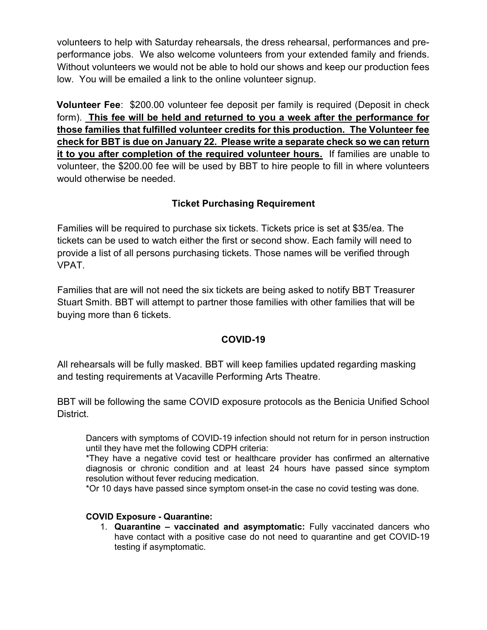volunteers to help with Saturday rehearsals, the dress rehearsal, performances and preperformance jobs. We also welcome volunteers from your extended family and friends. Without volunteers we would not be able to hold our shows and keep our production fees low. You will be emailed a link to the online volunteer signup.

Volunteer Fee: \$200.00 volunteer fee deposit per family is required (Deposit in check form). This fee will be held and returned to you a week after the performance for those families that fulfilled volunteer credits for this production. The Volunteer fee check for BBT is due on January 22. Please write a separate check so we can return it to you after completion of the required volunteer hours. If families are unable to volunteer, the \$200.00 fee will be used by BBT to hire people to fill in where volunteers would otherwise be needed.

## Ticket Purchasing Requirement

Families will be required to purchase six tickets. Tickets price is set at \$35/ea. The tickets can be used to watch either the first or second show. Each family will need to provide a list of all persons purchasing tickets. Those names will be verified through VPAT.

Families that are will not need the six tickets are being asked to notify BBT Treasurer Stuart Smith. BBT will attempt to partner those families with other families that will be buying more than 6 tickets.

## COVID-19

All rehearsals will be fully masked. BBT will keep families updated regarding masking and testing requirements at Vacaville Performing Arts Theatre.

BBT will be following the same COVID exposure protocols as the Benicia Unified School District.

Dancers with symptoms of COVID-19 infection should not return for in person instruction until they have met the following CDPH criteria:

\*They have a negative covid test or healthcare provider has confirmed an alternative diagnosis or chronic condition and at least 24 hours have passed since symptom resolution without fever reducing medication.

\*Or 10 days have passed since symptom onset-in the case no covid testing was done.

#### COVID Exposure - Quarantine:

1. Quarantine – vaccinated and asymptomatic: Fully vaccinated dancers who have contact with a positive case do not need to quarantine and get COVID-19 testing if asymptomatic.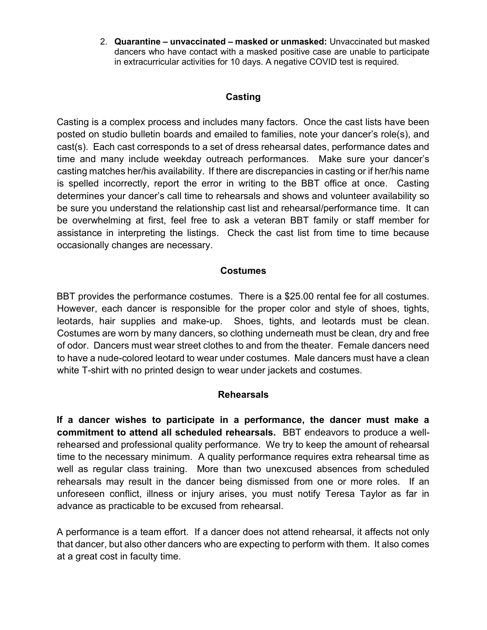2. Quarantine – unvaccinated – masked or unmasked: Unvaccinated but masked dancers who have contact with a masked positive case are unable to participate in extracurricular activities for 10 days. A negative COVID test is required.

### Casting

Casting is a complex process and includes many factors. Once the cast lists have been posted on studio bulletin boards and emailed to families, note your dancer's role(s), and cast(s). Each cast corresponds to a set of dress rehearsal dates, performance dates and time and many include weekday outreach performances. Make sure your dancer's casting matches her/his availability. If there are discrepancies in casting or if her/his name is spelled incorrectly, report the error in writing to the BBT office at once. Casting determines your dancer's call time to rehearsals and shows and volunteer availability so be sure you understand the relationship cast list and rehearsal/performance time. It can be overwhelming at first, feel free to ask a veteran BBT family or staff member for assistance in interpreting the listings. Check the cast list from time to time because occasionally changes are necessary.

#### Costumes

BBT provides the performance costumes. There is a \$25.00 rental fee for all costumes. However, each dancer is responsible for the proper color and style of shoes, tights, leotards, hair supplies and make-up. Shoes, tights, and leotards must be clean. Costumes are worn by many dancers, so clothing underneath must be clean, dry and free of odor. Dancers must wear street clothes to and from the theater. Female dancers need to have a nude-colored leotard to wear under costumes. Male dancers must have a clean white T-shirt with no printed design to wear under jackets and costumes.

#### Rehearsals

If a dancer wishes to participate in a performance, the dancer must make a commitment to attend all scheduled rehearsals. BBT endeavors to produce a wellrehearsed and professional quality performance. We try to keep the amount of rehearsal time to the necessary minimum. A quality performance requires extra rehearsal time as well as regular class training. More than two unexcused absences from scheduled rehearsals may result in the dancer being dismissed from one or more roles. If an unforeseen conflict, illness or injury arises, you must notify Teresa Taylor as far in advance as practicable to be excused from rehearsal.

A performance is a team effort. If a dancer does not attend rehearsal, it affects not only that dancer, but also other dancers who are expecting to perform with them. It also comes at a great cost in faculty time.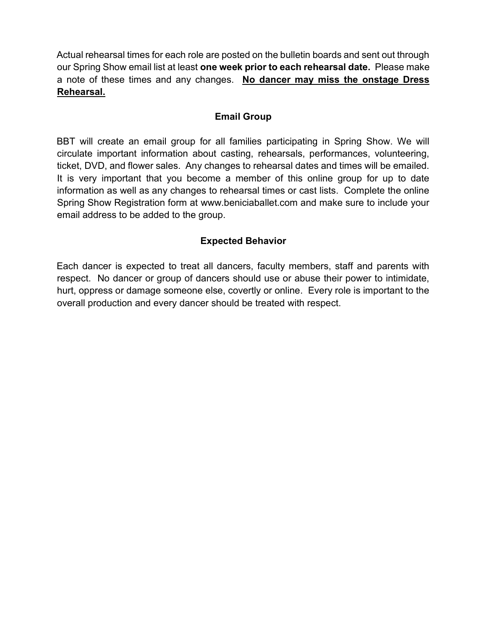Actual rehearsal times for each role are posted on the bulletin boards and sent out through our Spring Show email list at least one week prior to each rehearsal date. Please make a note of these times and any changes. No dancer may miss the onstage Dress Rehearsal.

## Email Group

BBT will create an email group for all families participating in Spring Show. We will circulate important information about casting, rehearsals, performances, volunteering, ticket, DVD, and flower sales. Any changes to rehearsal dates and times will be emailed. It is very important that you become a member of this online group for up to date information as well as any changes to rehearsal times or cast lists. Complete the online Spring Show Registration form at www.beniciaballet.com and make sure to include your email address to be added to the group.

## Expected Behavior

Each dancer is expected to treat all dancers, faculty members, staff and parents with respect. No dancer or group of dancers should use or abuse their power to intimidate, hurt, oppress or damage someone else, covertly or online. Every role is important to the overall production and every dancer should be treated with respect.